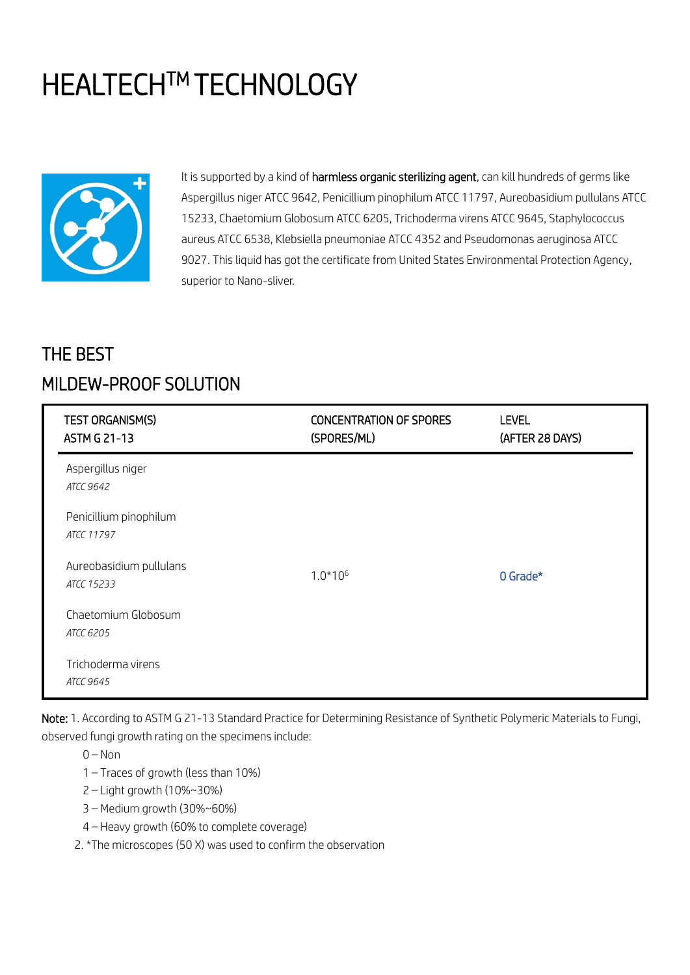# **HEALTECH™ TECHNOLOGY**



It is supported by a kind of harmless organic sterilizing agent, can kill hundreds of germs like Aspergillus niger ATCC 9642, Penicillium pinophilum ATCC 11797, Aureobasidium pullulans ATCC 15233, Chaetomium Globosum ATCC 6205, Trichoderma virens ATCC 9645, Staphylococcus aureus ATCC 6538, Klebsiella pneumoniae ATCC 4352 and Pseudomonas aeruginosa ATCC 9027. This liquid has got the certificate from United States Environmental Protection Agency, superior to Nano-sliver.

# THE BEST MILDEW-PROOF SOLUTION

| TEST ORGANISM(S)<br><b>ASTM G 21-13</b> | <b>CONCENTRATION OF SPORES</b><br>(SPORES/ML) | <b>LEVEL</b><br>(AFTER 28 DAYS) |
|-----------------------------------------|-----------------------------------------------|---------------------------------|
| Aspergillus niger<br><b>ATCC 9642</b>   |                                               |                                 |
| Penicillium pinophilum<br>ATCC 11797    |                                               |                                 |
| Aureobasidium pullulans<br>ATCC 15233   | $1.0*106$                                     | 0 Grade*                        |
| Chaetomium Globosum<br>ATCC 6205        |                                               |                                 |
| Trichoderma virens<br>ATCC 9645         |                                               |                                 |

Note: 1. According to ASTM G 21-13 Standard Practice for Determining Resistance of Synthetic Polymeric Materials to Fungi, observed fungi growth rating on the specimens include:

 $0 -$ Non

1 – Traces of growth (less than 10%)

2 – Light growth (10%~30%)

- 3 Medium growth (30%~60%)
- 4 Heavy growth (60% to complete coverage)

2. \*The microscopes (50 X) was used to confirm the observation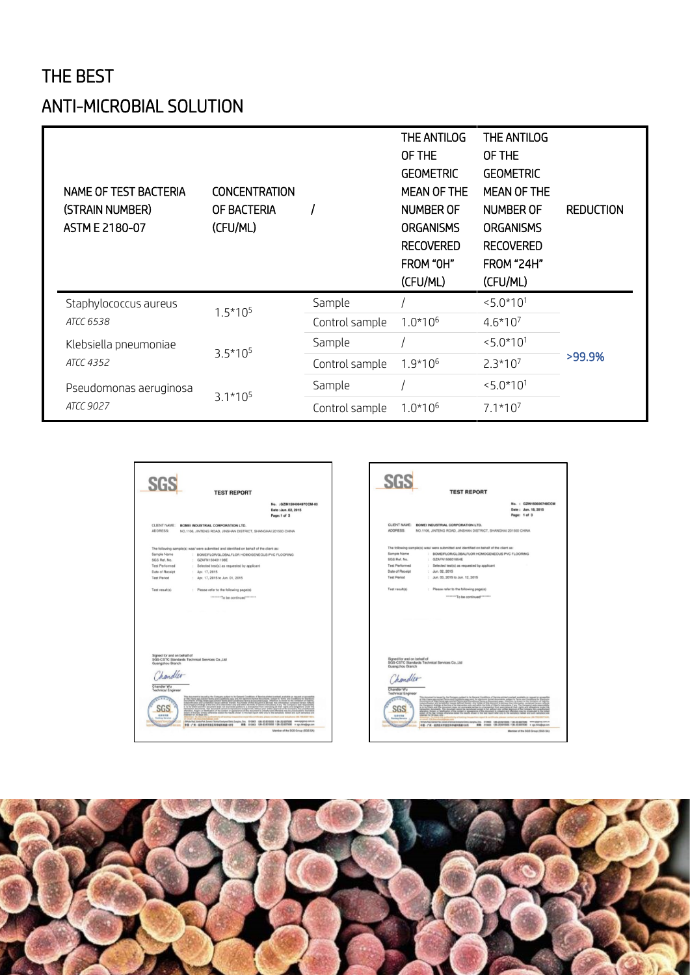## THE BEST

## ANTI-MICROBIAL SOLUTION

| NAME OF TEST BACTERIA<br>(STRAIN NUMBER)<br>ASTM E 2180-07 | <b>CONCENTRATION</b><br>OF BACTERIA<br>(CFU/ML) |                | THE ANTILOG<br>OF THE<br><b>GEOMETRIC</b><br><b>MEAN OF THE</b><br><b>NUMBER OF</b><br><b>ORGANISMS</b><br><b>RECOVERED</b><br>FROM "OH"<br>(CFU/ML) | THE ANTILOG<br>OF THE<br><b>GEOMETRIC</b><br><b>MEAN OF THE</b><br><b>NUMBER OF</b><br><b>ORGANISMS</b><br><b>RECOVERED</b><br><b>FROM "24H"</b><br>(CFU/ML) | <b>REDUCTION</b> |
|------------------------------------------------------------|-------------------------------------------------|----------------|------------------------------------------------------------------------------------------------------------------------------------------------------|--------------------------------------------------------------------------------------------------------------------------------------------------------------|------------------|
| Staphylococcus aureus<br>ATCC 6538                         | $1.5*105$                                       | Sample         |                                                                                                                                                      | $< 5.0*101$                                                                                                                                                  | >99.9%           |
|                                                            |                                                 | Control sample | $1.0*106$                                                                                                                                            | $4.6*107$                                                                                                                                                    |                  |
| Klebsiella pneumoniae<br><b>ATCC 4352</b>                  | $3.5*105$                                       | Sample         |                                                                                                                                                      | $5.0*101$                                                                                                                                                    |                  |
|                                                            |                                                 | Control sample | $1.9*106$                                                                                                                                            | $2.3*107$                                                                                                                                                    |                  |
| Pseudomonas aeruginosa<br>ATCC 9027                        | $3.1*105$                                       | Sample         |                                                                                                                                                      | $5.0*101$                                                                                                                                                    |                  |
|                                                            |                                                 | Control sample | $1.0*106$                                                                                                                                            | $7.1*107$                                                                                                                                                    |                  |





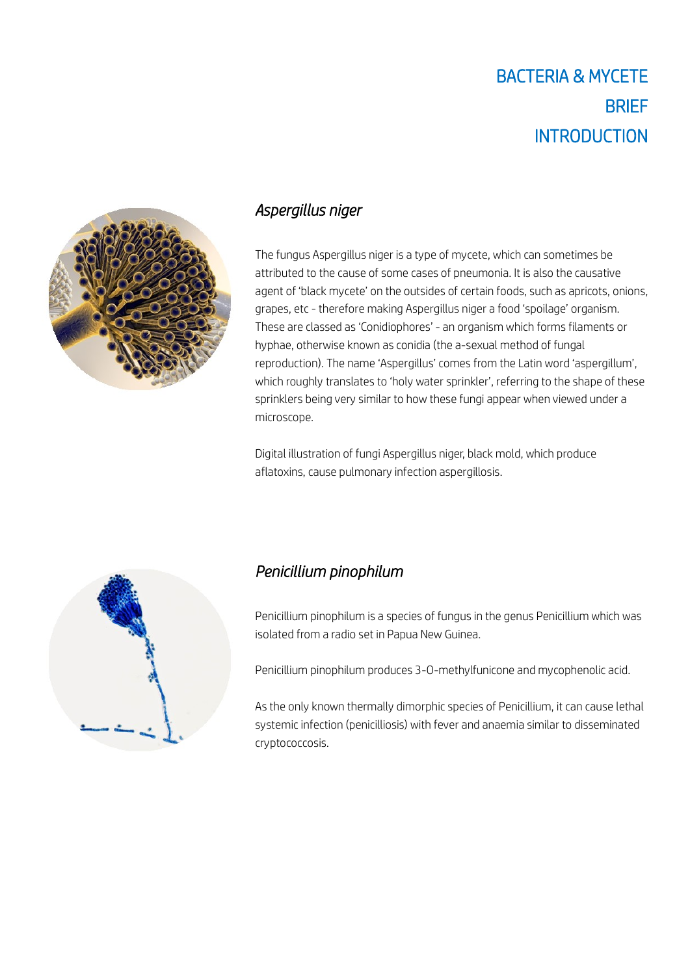

#### *Aspergillus niger*

The fungus Aspergillus niger is a type of mycete, which can sometimes be attributed to the cause of some cases of pneumonia. It is also the causative agent of 'black mycete' on the outsides of certain foods, such as apricots, onions, grapes, etc - therefore making Aspergillus niger a food 'spoilage' organism. These are classed as 'Conidiophores' - an organism which forms filaments or hyphae, otherwise known as conidia (the a-sexual method of fungal reproduction). The name 'Aspergillus' comes from the Latin word 'aspergillum', which roughly translates to 'holy water sprinkler', referring to the shape of these sprinklers being very similar to how these fungi appear when viewed under a microscope.

Digital illustration of fungi Aspergillus niger, black mold, which produce aflatoxins, cause pulmonary infection aspergillosis.



#### *Penicillium pinophilum*

Penicillium pinophilum is a species of fungus in the genus Penicillium which was isolated from a radio set in Papua New Guinea.

Penicillium pinophilum produces 3-O-methylfunicone and mycophenolic acid.

As the only known thermally dimorphic species of Penicillium, it can cause lethal systemic infection (penicilliosis) with fever and anaemia similar to disseminated cryptococcosis.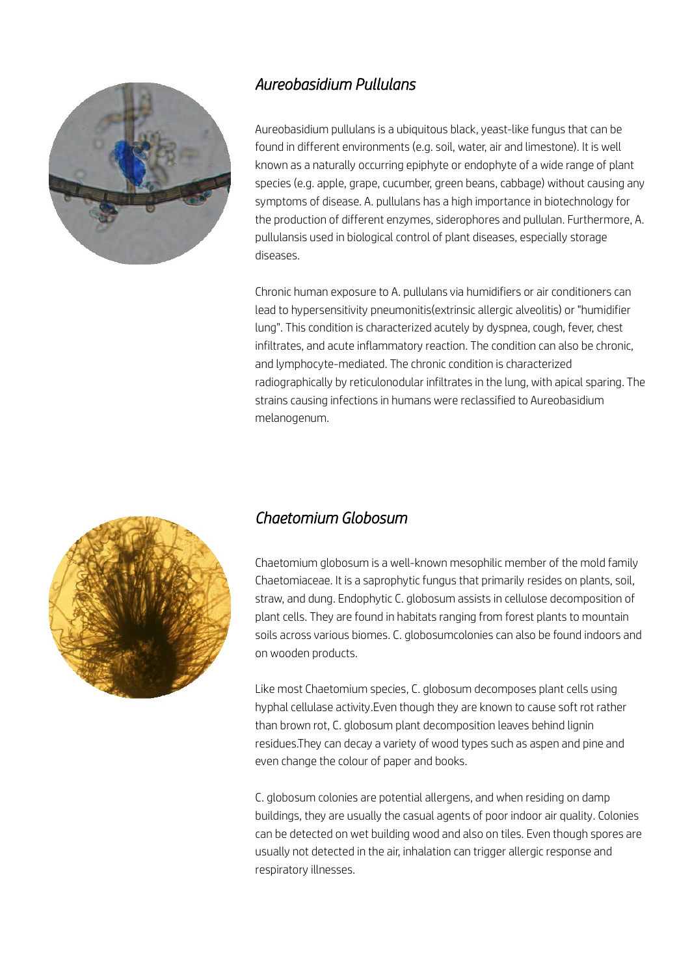

#### *Aureobasidium Pullulans*

Aureobasidium pullulans is a ubiquitous black, yeast-like fungus that can be found in different environments (e.g. soil, water, air and limestone). It is well known as a naturally occurring epiphyte or endophyte of a wide range of plant species (e.g. apple, grape, cucumber, green beans, cabbage) without causing any symptoms of disease. A. pullulans has a high importance in biotechnology for the production of different enzymes, siderophores and pullulan. Furthermore, A. pullulansis used in biological control of plant diseases, especially storage diseases.

Chronic human exposure to A. pullulans via humidifiers or air conditioners can lead to hypersensitivity pneumonitis(extrinsic allergic alveolitis) or "humidifier lung". This condition is characterized acutely by dyspnea, cough, fever, chest infiltrates, and acute inflammatory reaction. The condition can also be chronic, and lymphocyte-mediated. The chronic condition is characterized radiographically by reticulonodular infiltrates in the lung, with apical sparing. The strains causing infections in humans were reclassified to Aureobasidium melanogenum.



#### *Chaetomium Globosum*

Chaetomium globosum is a well-known mesophilic member of the mold family Chaetomiaceae. It is a saprophytic fungus that primarily resides on plants, soil, straw, and dung. Endophytic C. globosum assists in cellulose decomposition of plant cells. They are found in habitats ranging from forest plants to mountain soils across various biomes. C. globosumcolonies can also be found indoors and on wooden products.

Like most Chaetomium species, C. globosum decomposes plant cells using hyphal cellulase activity.Even though they are known to cause soft rot rather than brown rot, C. globosum plant decomposition leaves behind lignin residues.They can decay a variety of wood types such as aspen and pine and even change the colour of paper and books.

C. globosum colonies are potential allergens, and when residing on damp buildings, they are usually the casual agents of poor indoor air quality. Colonies can be detected on wet building wood and also on tiles. Even though spores are usually not detected in the air, inhalation can trigger allergic response and respiratory illnesses.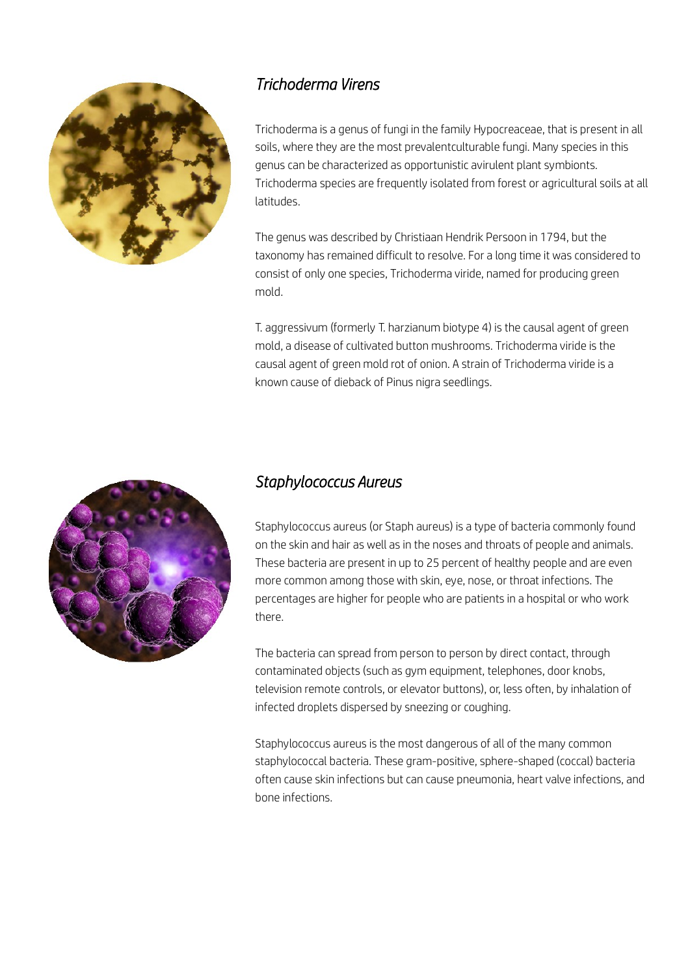

## *Trichoderma Virens*

Trichoderma is a genus of fungi in the family Hypocreaceae, that is present in all soils, where they are the most prevalentculturable fungi. Many species in this genus can be characterized as opportunistic avirulent plant symbionts. Trichoderma species are frequently isolated from forest or agricultural soils at all latitudes.

The genus was described by Christiaan Hendrik Persoon in 1794, but the taxonomy has remained difficult to resolve. For a long time it was considered to consist of only one species, Trichoderma viride, named for producing green mold.

T. aggressivum (formerly T. harzianum biotype 4) is the causal agent of green mold, a disease of cultivated button mushrooms. Trichoderma viride is the causal agent of green mold rot of onion. A strain of Trichoderma viride is a known cause of dieback of Pinus nigra seedlings.



#### *Staphylococcus Aureus*

Staphylococcus aureus (or Staph aureus) is a type of bacteria commonly found on the skin and hair as well as in the noses and throats of people and animals. These bacteria are present in up to 25 percent of healthy people and are even more common among those with skin, eye, nose, or throat infections. The percentages are higher for people who are patients in a hospital or who work there.

The bacteria can spread from person to person by direct contact, through contaminated objects (such as gym equipment, telephones, door knobs, television remote controls, or elevator buttons), or, less often, by inhalation of infected droplets dispersed by sneezing or coughing.

Staphylococcus aureus is the most dangerous of all of the many common staphylococcal bacteria. These gram-positive, sphere-shaped (coccal) bacteria often cause skin infections but can cause pneumonia, heart valve infections, and bone infections.